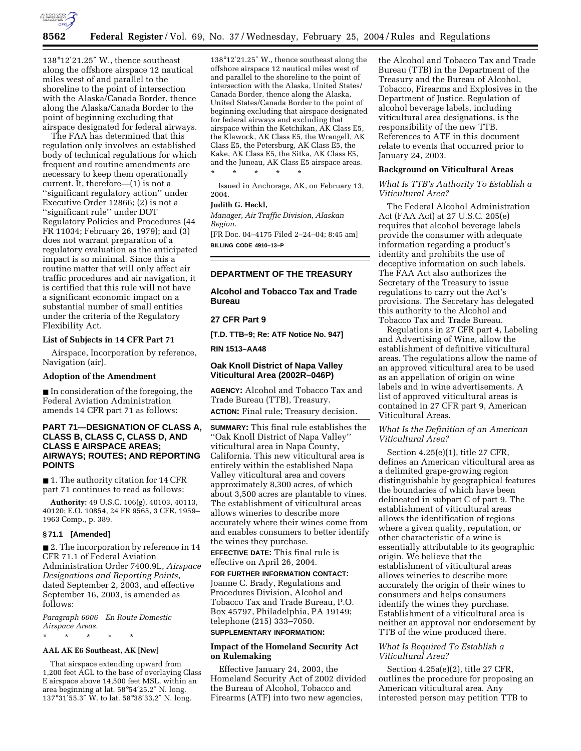

138°12′21.25″ W., thence southeast along the offshore airspace 12 nautical miles west of and parallel to the shoreline to the point of intersection with the Alaska/Canada Border, thence along the Alaska/Canada Border to the point of beginning excluding that airspace designated for federal airways.

The FAA has determined that this regulation only involves an established body of technical regulations for which frequent and routine amendments are necessary to keep them operationally current. It, therefore—(1) is not a ''significant regulatory action'' under Executive Order 12866; (2) is not a ''significant rule'' under DOT Regulatory Policies and Procedures (44 FR 11034; February 26, 1979); and (3) does not warrant preparation of a regulatory evaluation as the anticipated impact is so minimal. Since this a routine matter that will only affect air traffic procedures and air navigation, it is certified that this rule will not have a significant economic impact on a substantial number of small entities under the criteria of the Regulatory Flexibility Act.

### **List of Subjects in 14 CFR Part 71**

Airspace, Incorporation by reference, Navigation (air).

# **Adoption of the Amendment**

■ In consideration of the foregoing, the Federal Aviation Administration amends 14 CFR part 71 as follows:

## **PART 71—DESIGNATION OF CLASS A, CLASS B, CLASS C, CLASS D, AND CLASS E AIRSPACE AREAS; AIRWAYS; ROUTES; AND REPORTING POINTS**

■ 1. The authority citation for 14 CFR part 71 continues to read as follows:

**Authority:** 49 U.S.C. 106(g), 40103, 40113, 40120; E.O. 10854, 24 FR 9565, 3 CFR, 1959– 1963 Comp., p. 389.

### **§ 71.1 [Amended]**

■ 2. The incorporation by reference in 14 CFR 71.1 of Federal Aviation Administration Order 7400.9L, *Airspace Designations and Reporting Points*, dated September 2, 2003, and effective September 16, 2003, is amended as follows:

*Paragraph 6006 En Route Domestic Airspace Areas.*

# **AAL AK E6 Southeast, AK [New]**

\* \* \* \* \*

That airspace extending upward from 1,200 feet AGL to the base of overlaying Class E airspace above 14,500 feet MSL, within an area beginning at lat. 58°54′25.2″ N. long. 137°31′55.3″ W. to lat. 58°38′33.2″ N. long.

138°12′21.25″ W., thence southeast along the offshore airspace 12 nautical miles west of and parallel to the shoreline to the point of intersection with the Alaska, United States/ Canada Border, thence along the Alaska, United States/Canada Border to the point of beginning excluding that airspace designated for federal airways and excluding that airspace within the Ketchikan, AK Class E5, the Klawock, AK Class E5, the Wrangell, AK Class E5, the Petersburg, AK Class E5, the Kake, AK Class E5, the Sitka, AK Class E5, and the Juneau, AK Class E5 airspace areas. \* \* \* \* \*

Issued in Anchorage, AK, on February 13, 2004.

### **Judith G. Heckl,**

*Manager, Air Traffic Division, Alaskan Region.*

[FR Doc. 04–4175 Filed 2–24–04; 8:45 am] **BILLING CODE 4910–13–P**

## **DEPARTMENT OF THE TREASURY**

**Alcohol and Tobacco Tax and Trade Bureau** 

## **27 CFR Part 9**

**[T.D. TTB–9; Re: ATF Notice No. 947]** 

**RIN 1513–AA48** 

# **Oak Knoll District of Napa Valley Viticultural Area (2002R–046P)**

**AGENCY:** Alcohol and Tobacco Tax and Trade Bureau (TTB), Treasury. **ACTION:** Final rule; Treasury decision.

**SUMMARY:** This final rule establishes the ''Oak Knoll District of Napa Valley'' viticultural area in Napa County, California. This new viticultural area is entirely within the established Napa Valley viticultural area and covers approximately 8,300 acres, of which about 3,500 acres are plantable to vines. The establishment of viticultural areas allows wineries to describe more accurately where their wines come from and enables consumers to better identify the wines they purchase.

**EFFECTIVE DATE:** This final rule is effective on April 26, 2004.

**FOR FURTHER INFORMATION CONTACT:** Joanne C. Brady, Regulations and Procedures Division, Alcohol and Tobacco Tax and Trade Bureau, P.O. Box 45797, Philadelphia, PA 19149; telephone (215) 333–7050.

# **SUPPLEMENTARY INFORMATION:**

# **Impact of the Homeland Security Act on Rulemaking**

Effective January 24, 2003, the Homeland Security Act of 2002 divided the Bureau of Alcohol, Tobacco and Firearms (ATF) into two new agencies,

the Alcohol and Tobacco Tax and Trade Bureau (TTB) in the Department of the Treasury and the Bureau of Alcohol, Tobacco, Firearms and Explosives in the Department of Justice. Regulation of alcohol beverage labels, including viticultural area designations, is the responsibility of the new TTB. References to ATF in this document relate to events that occurred prior to January 24, 2003.

### **Background on Viticultural Areas**

*What Is TTB's Authority To Establish a Viticultural Area?* 

The Federal Alcohol Administration Act (FAA Act) at 27 U.S.C. 205(e) requires that alcohol beverage labels provide the consumer with adequate information regarding a product's identity and prohibits the use of deceptive information on such labels. The FAA Act also authorizes the Secretary of the Treasury to issue regulations to carry out the Act's provisions. The Secretary has delegated this authority to the Alcohol and Tobacco Tax and Trade Bureau.

Regulations in 27 CFR part 4, Labeling and Advertising of Wine, allow the establishment of definitive viticultural areas. The regulations allow the name of an approved viticultural area to be used as an appellation of origin on wine labels and in wine advertisements. A list of approved viticultural areas is contained in 27 CFR part 9, American Viticultural Areas.

# *What Is the Definition of an American Viticultural Area?*

Section 4.25(e)(1), title 27 CFR, defines an American viticultural area as a delimited grape-growing region distinguishable by geographical features the boundaries of which have been delineated in subpart C of part 9. The establishment of viticultural areas allows the identification of regions where a given quality, reputation, or other characteristic of a wine is essentially attributable to its geographic origin. We believe that the establishment of viticultural areas allows wineries to describe more accurately the origin of their wines to consumers and helps consumers identify the wines they purchase. Establishment of a viticultural area is neither an approval nor endorsement by TTB of the wine produced there.

# *What Is Required To Establish a Viticultural Area?*

Section 4.25a(e)(2), title 27 CFR, outlines the procedure for proposing an American viticultural area. Any interested person may petition TTB to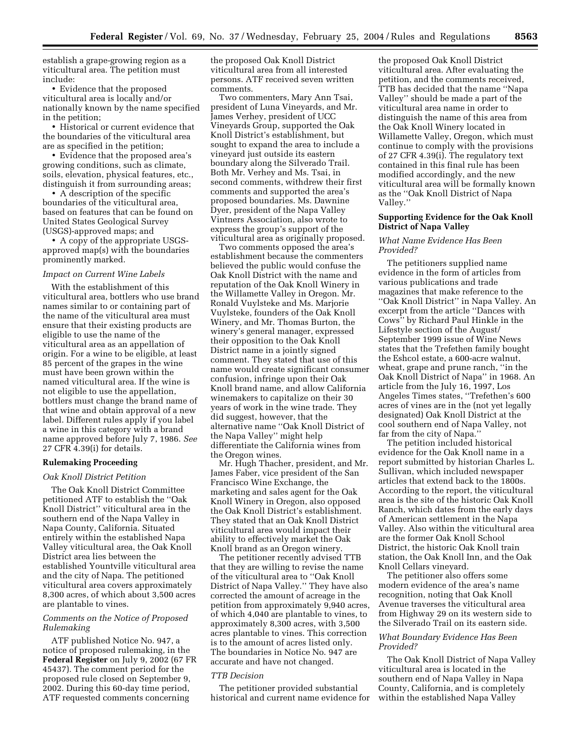establish a grape-growing region as a viticultural area. The petition must include:

• Evidence that the proposed viticultural area is locally and/or nationally known by the name specified in the petition;

• Historical or current evidence that the boundaries of the viticultural area are as specified in the petition;

• Evidence that the proposed area's growing conditions, such as climate, soils, elevation, physical features, etc., distinguish it from surrounding areas;

• A description of the specific boundaries of the viticultural area, based on features that can be found on United States Geological Survey (USGS)-approved maps; and

• A copy of the appropriate USGSapproved map(s) with the boundaries prominently marked.

## *Impact on Current Wine Labels*

With the establishment of this viticultural area, bottlers who use brand names similar to or containing part of the name of the viticultural area must ensure that their existing products are eligible to use the name of the viticultural area as an appellation of origin. For a wine to be eligible, at least 85 percent of the grapes in the wine must have been grown within the named viticultural area. If the wine is not eligible to use the appellation, bottlers must change the brand name of that wine and obtain approval of a new label. Different rules apply if you label a wine in this category with a brand name approved before July 7, 1986. *See* 27 CFR 4.39(i) for details.

## **Rulemaking Proceeding**

#### *Oak Knoll District Petition*

The Oak Knoll District Committee petitioned ATF to establish the ''Oak Knoll District'' viticultural area in the southern end of the Napa Valley in Napa County, California. Situated entirely within the established Napa Valley viticultural area, the Oak Knoll District area lies between the established Yountville viticultural area and the city of Napa. The petitioned viticultural area covers approximately 8,300 acres, of which about 3,500 acres are plantable to vines.

## *Comments on the Notice of Proposed Rulemaking*

ATF published Notice No. 947, a notice of proposed rulemaking, in the **Federal Register** on July 9, 2002 (67 FR 45437). The comment period for the proposed rule closed on September 9, 2002. During this 60-day time period, ATF requested comments concerning

the proposed Oak Knoll District viticultural area from all interested persons. ATF received seven written comments.

Two commenters, Mary Ann Tsai, president of Luna Vineyards, and Mr. James Verhey, president of UCC Vineyards Group, supported the Oak Knoll District's establishment, but sought to expand the area to include a vineyard just outside its eastern boundary along the Silverado Trail. Both Mr. Verhey and Ms. Tsai, in second comments, withdrew their first comments and supported the area's proposed boundaries. Ms. Dawnine Dyer, president of the Napa Valley Vintners Association, also wrote to express the group's support of the viticultural area as originally proposed.

Two comments opposed the area's establishment because the commenters believed the public would confuse the Oak Knoll District with the name and reputation of the Oak Knoll Winery in the Willamette Valley in Oregon. Mr. Ronald Vuylsteke and Ms. Marjorie Vuylsteke, founders of the Oak Knoll Winery, and Mr. Thomas Burton, the winery's general manager, expressed their opposition to the Oak Knoll District name in a jointly signed comment. They stated that use of this name would create significant consumer confusion, infringe upon their Oak Knoll brand name, and allow California winemakers to capitalize on their 30 years of work in the wine trade. They did suggest, however, that the alternative name ''Oak Knoll District of the Napa Valley'' might help differentiate the California wines from the Oregon wines.

Mr. Hugh Thacher, president, and Mr. James Faber, vice president of the San Francisco Wine Exchange, the marketing and sales agent for the Oak Knoll Winery in Oregon, also opposed the Oak Knoll District's establishment. They stated that an Oak Knoll District viticultural area would impact their ability to effectively market the Oak Knoll brand as an Oregon winery.

The petitioner recently advised TTB that they are willing to revise the name of the viticultural area to ''Oak Knoll District of Napa Valley.'' They have also corrected the amount of acreage in the petition from approximately 9,940 acres, of which 4,040 are plantable to vines, to approximately 8,300 acres, with 3,500 acres plantable to vines. This correction is to the amount of acres listed only. The boundaries in Notice No. 947 are accurate and have not changed.

### *TTB Decision*

The petitioner provided substantial historical and current name evidence for

the proposed Oak Knoll District viticultural area. After evaluating the petition, and the comments received, TTB has decided that the name ''Napa Valley'' should be made a part of the viticultural area name in order to distinguish the name of this area from the Oak Knoll Winery located in Willamette Valley, Oregon, which must continue to comply with the provisions of 27 CFR 4.39(i). The regulatory text contained in this final rule has been modified accordingly, and the new viticultural area will be formally known as the ''Oak Knoll District of Napa Valley.''

## **Supporting Evidence for the Oak Knoll District of Napa Valley**

## *What Name Evidence Has Been Provided?*

The petitioners supplied name evidence in the form of articles from various publications and trade magazines that make reference to the ''Oak Knoll District'' in Napa Valley. An excerpt from the article ''Dances with Cows'' by Richard Paul Hinkle in the Lifestyle section of the August/ September 1999 issue of Wine News states that the Trefethen family bought the Eshcol estate, a 600-acre walnut, wheat, grape and prune ranch, ''in the Oak Knoll District of Napa'' in 1968. An article from the July 16, 1997, Los Angeles Times states, ''Trefethen's 600 acres of vines are in the (not yet legally designated) Oak Knoll District at the cool southern end of Napa Valley, not far from the city of Napa.''

The petition included historical evidence for the Oak Knoll name in a report submitted by historian Charles L. Sullivan, which included newspaper articles that extend back to the 1800s. According to the report, the viticultural area is the site of the historic Oak Knoll Ranch, which dates from the early days of American settlement in the Napa Valley. Also within the viticultural area are the former Oak Knoll School District, the historic Oak Knoll train station, the Oak Knoll Inn, and the Oak Knoll Cellars vineyard.

The petitioner also offers some modern evidence of the area's name recognition, noting that Oak Knoll Avenue traverses the viticultural area from Highway 29 on its western side to the Silverado Trail on its eastern side.

### *What Boundary Evidence Has Been Provided?*

The Oak Knoll District of Napa Valley viticultural area is located in the southern end of Napa Valley in Napa County, California, and is completely within the established Napa Valley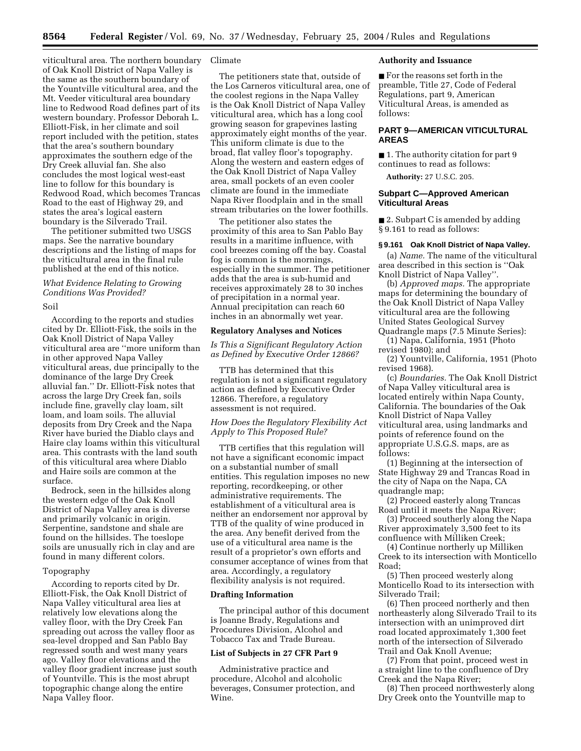viticultural area. The northern boundary of Oak Knoll District of Napa Valley is the same as the southern boundary of the Yountville viticultural area, and the Mt. Veeder viticultural area boundary line to Redwood Road defines part of its western boundary. Professor Deborah L. Elliott-Fisk, in her climate and soil report included with the petition, states that the area's southern boundary approximates the southern edge of the Dry Creek alluvial fan. She also concludes the most logical west-east line to follow for this boundary is Redwood Road, which becomes Trancas Road to the east of Highway 29, and states the area's logical eastern boundary is the Silverado Trail.

The petitioner submitted two USGS maps. See the narrative boundary descriptions and the listing of maps for the viticultural area in the final rule published at the end of this notice.

# *What Evidence Relating to Growing Conditions Was Provided?*

#### Soil

According to the reports and studies cited by Dr. Elliott-Fisk, the soils in the Oak Knoll District of Napa Valley viticultural area are ''more uniform than in other approved Napa Valley viticultural areas, due principally to the dominance of the large Dry Creek alluvial fan.'' Dr. Elliott-Fisk notes that across the large Dry Creek fan, soils include fine, gravelly clay loam, silt loam, and loam soils. The alluvial deposits from Dry Creek and the Napa River have buried the Diablo clays and Haire clay loams within this viticultural area. This contrasts with the land south of this viticultural area where Diablo and Haire soils are common at the surface.

Bedrock, seen in the hillsides along the western edge of the Oak Knoll District of Napa Valley area is diverse and primarily volcanic in origin. Serpentine, sandstone and shale are found on the hillsides. The toeslope soils are unusually rich in clay and are found in many different colors.

#### Topography

According to reports cited by Dr. Elliott-Fisk, the Oak Knoll District of Napa Valley viticultural area lies at relatively low elevations along the valley floor, with the Dry Creek Fan spreading out across the valley floor as sea-level dropped and San Pablo Bay regressed south and west many years ago. Valley floor elevations and the valley floor gradient increase just south of Yountville. This is the most abrupt topographic change along the entire Napa Valley floor.

# Climate

The petitioners state that, outside of the Los Carneros viticultural area, one of the coolest regions in the Napa Valley is the Oak Knoll District of Napa Valley viticultural area, which has a long cool growing season for grapevines lasting approximately eight months of the year. This uniform climate is due to the broad, flat valley floor's topography. Along the western and eastern edges of the Oak Knoll District of Napa Valley area, small pockets of an even cooler climate are found in the immediate Napa River floodplain and in the small stream tributaries on the lower foothills.

The petitioner also states the proximity of this area to San Pablo Bay results in a maritime influence, with cool breezes coming off the bay. Coastal fog is common is the mornings, especially in the summer. The petitioner adds that the area is sub-humid and receives approximately 28 to 30 inches of precipitation in a normal year. Annual precipitation can reach 60 inches in an abnormally wet year.

# **Regulatory Analyses and Notices**

*Is This a Significant Regulatory Action as Defined by Executive Order 12866?* 

TTB has determined that this regulation is not a significant regulatory action as defined by Executive Order 12866. Therefore, a regulatory assessment is not required.

## *How Does the Regulatory Flexibility Act Apply to This Proposed Rule?*

TTB certifies that this regulation will not have a significant economic impact on a substantial number of small entities. This regulation imposes no new reporting, recordkeeping, or other administrative requirements. The establishment of a viticultural area is neither an endorsement nor approval by TTB of the quality of wine produced in the area. Any benefit derived from the use of a viticultural area name is the result of a proprietor's own efforts and consumer acceptance of wines from that area. Accordingly, a regulatory flexibility analysis is not required.

### **Drafting Information**

The principal author of this document is Joanne Brady, Regulations and Procedures Division, Alcohol and Tobacco Tax and Trade Bureau.

### **List of Subjects in 27 CFR Part 9**

Administrative practice and procedure, Alcohol and alcoholic beverages, Consumer protection, and Wine.

### **Authority and Issuance**

■ For the reasons set forth in the preamble, Title 27, Code of Federal Regulations, part 9, American Viticultural Areas, is amended as follows:

# **PART 9—AMERICAN VITICULTURAL AREAS**

■ 1. The authority citation for part 9 continues to read as follows:

**Authority:** 27 U.S.C. 205.

## **Subpart C—Approved American Viticultural Areas**

■ 2. Subpart C is amended by adding § 9.161 to read as follows:

### **§ 9.161 Oak Knoll District of Napa Valley.**

(a) *Name.* The name of the viticultural area described in this section is ''Oak Knoll District of Napa Valley''.

(b) *Approved maps.* The appropriate maps for determining the boundary of the Oak Knoll District of Napa Valley viticultural area are the following United States Geological Survey Quadrangle maps (7.5 Minute Series):

(1) Napa, California, 1951 (Photo revised 1980); and

(2) Yountville, California, 1951 (Photo revised 1968).

(c) *Boundaries.* The Oak Knoll District of Napa Valley viticultural area is located entirely within Napa County, California. The boundaries of the Oak Knoll District of Napa Valley viticultural area, using landmarks and points of reference found on the appropriate U.S.G.S. maps, are as follows:

(1) Beginning at the intersection of State Highway 29 and Trancas Road in the city of Napa on the Napa, CA quadrangle map;

(2) Proceed easterly along Trancas Road until it meets the Napa River;

(3) Proceed southerly along the Napa River approximately 3,500 feet to its confluence with Milliken Creek;

(4) Continue northerly up Milliken Creek to its intersection with Monticello Road;

(5) Then proceed westerly along Monticello Road to its intersection with Silverado Trail;

(6) Then proceed northerly and then northeasterly along Silverado Trail to its intersection with an unimproved dirt road located approximately 1,300 feet north of the intersection of Silverado Trail and Oak Knoll Avenue;

(7) From that point, proceed west in a straight line to the confluence of Dry Creek and the Napa River;

(8) Then proceed northwesterly along Dry Creek onto the Yountville map to